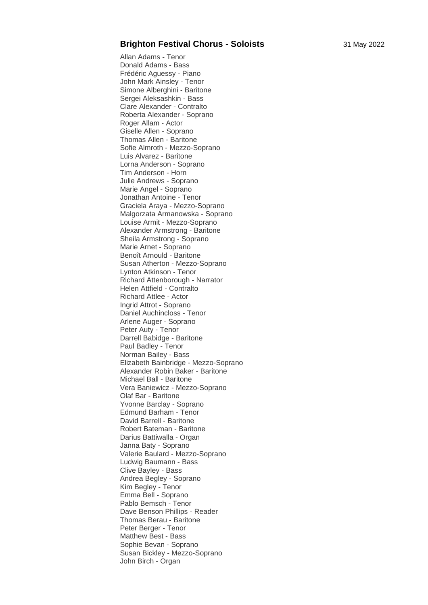## **Brighton Festival Chorus - Soloists** 31 May 2022

Allan Adams - Tenor Donald Adams - Bass Frédéric Aguessy - Piano John Mark Ainsley - Tenor Simone Alberghini - Baritone Sergei Aleksashkin - Bass Clare Alexander - Contralto Roberta Alexander - Soprano Roger Allam - Actor Giselle Allen - Soprano Thomas Allen - Baritone Sofie Almroth - Mezzo-Soprano Luis Alvarez - Baritone Lorna Anderson - Soprano Tim Anderson - Horn Julie Andrews - Soprano Marie Angel - Soprano Jonathan Antoine - Tenor Graciela Araya - Mezzo -Soprano Malgorzata Armanowska - Soprano Louise Armit - Mezzo -Soprano Alexander Armstrong - Baritone Sheila Armstrong - Soprano Marie Arnet - Soprano Benoît Arnould - Baritone Susan Atherton - Mezzo-Soprano Lynton Atkinson - Tenor Richard Attenborough - Narrator Helen Attfield - Contralto Richard Attlee - Actor Ingrid Attrot - Soprano Daniel Auchincloss - Tenor Arlene Auger - Soprano Peter Auty - Tenor Darrell Babidge - Baritone Paul Badley - Tenor Norman Bailey - Bass Elizabeth Bainbridge - Mezzo -Soprano Alexander Robin Baker - Baritone Michael Ball - Baritone Vera Baniewicz - Mezzo-Soprano Olaf Bar - Baritone Yvonne Barclay - Soprano Edmund Barham - Tenor David Barrell - Baritone Robert Bateman - Baritone Darius Battiwalla - Organ Janna Baty - Soprano Valerie Baulard - Mezzo-Soprano Ludwig Baumann - Bass Clive Bayley - Bass Andrea Begley - Soprano Kim Begley - Tenor Emma Bell - Soprano Pablo Bemsch - Tenor Dave Benson Phillips - Reader Thomas Berau - Baritone Peter Berger - Tenor Matthew Best - Bass Sophie Bevan - Soprano Susan Bickley - Mezzo -Soprano John Birch - Organ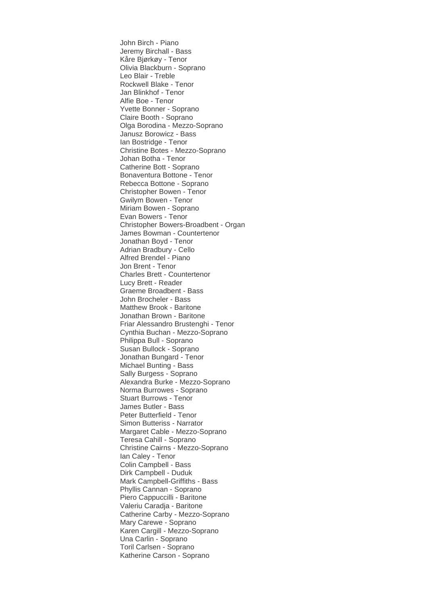John Birch - Piano Jeremy Birchall - Bass Kåre Bjørkøy - Tenor Olivia Blackburn - Soprano Leo Blair - Treble Rockwell Blake - Tenor Jan Blinkhof - Tenor Alfie Boe - Tenor Yvette Bonner - Soprano Claire Booth - Soprano Olga Borodina - Mezzo-Soprano Janusz Borowicz - Bass Ian Bostridge - Tenor Christine Botes - Mezzo-Soprano Johan Botha - Tenor Catherine Bott - Soprano Bonaventura Bottone - Tenor Rebecca Bottone - Soprano Christopher Bowen - Tenor Gwilym Bowen - Tenor Miriam Bowen - Soprano Evan Bowers - Tenor Christopher Bowers-Broadbent - Organ James Bowman - Countertenor Jonathan Boyd - Tenor Adrian Bradbury - Cello Alfred Brendel - Piano Jon Brent - Tenor Charles Brett - Countertenor Lucy Brett - Reader Graeme Broadbent - Bass John Brocheler - Bass Matthew Brook - Baritone Jonathan Brown - Baritone Friar Alessandro Brustenghi - Tenor Cynthia Buchan - Mezzo-Soprano Philippa Bull - Soprano Susan Bullock - Soprano Jonathan Bungard - Tenor Michael Bunting - Bass Sally Burgess - Soprano Alexandra Burke - Mezzo-Soprano Norma Burrowes - Soprano Stuart Burrows - Tenor James Butler - Bass Peter Butterfield - Tenor Simon Butteriss - Narrator Margaret Cable - Mezzo-Soprano Teresa Cahill - Soprano Christine Cairns - Mezzo-Soprano Ian Caley - Tenor Colin Campbell - Bass Dirk Campbell - Duduk Mark Campbell-Griffiths - Bass Phyllis Cannan - Soprano Piero Cappuccilli - Baritone Valeriu Caradja - Baritone Catherine Carby - Mezzo-Soprano Mary Carewe - Soprano Karen Cargill - Mezzo-Soprano Una Carlin - Soprano Toril Carlsen - Soprano Katherine Carson - Soprano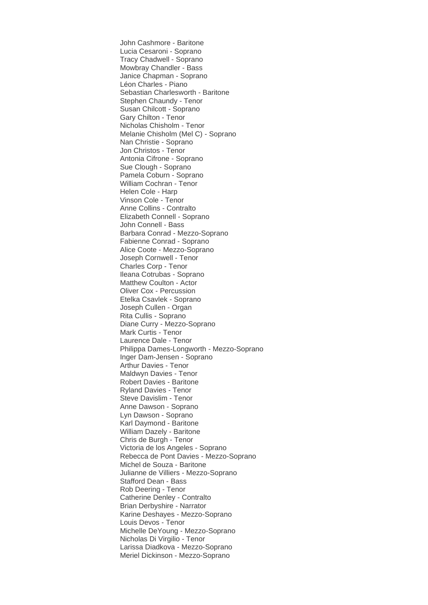John Cashmore - Baritone Lucia Cesaroni - Soprano Tracy Chadwell - Soprano Mowbray Chandler - Bass Janice Chapman - Soprano Léon Charles - Piano Sebastian Charlesworth - Baritone Stephen Chaundy - Tenor Susan Chilcott - Soprano Gary Chilton - Tenor Nicholas Chisholm - Tenor Melanie Chisholm (Mel C) - Soprano Nan Christie - Soprano Jon Christos - Tenor Antonia Cifrone - Soprano Sue Clough - Soprano Pamela Coburn - Soprano William Cochran - Tenor Helen Cole - Harp Vinson Cole - Tenor Anne Collins - Contralto Elizabeth Connell - Soprano John Connell - Bass Barbara Conrad - Mezzo-Soprano Fabienne Conrad - Soprano Alice Coote - Mezzo-Soprano Joseph Cornwell - Tenor Charles Corp - Tenor Ileana Cotrubas - Soprano Matthew Coulton - Actor Oliver Cox - Percussion Etelka Csavlek - Soprano Joseph Cullen - Organ Rita Cullis - Soprano Diane Curry - Mezzo-Soprano Mark Curtis - Tenor Laurence Dale - Tenor Philippa Dames-Longworth - Mezzo-Soprano Inger Dam-Jensen - Soprano Arthur Davies - Tenor Maldwyn Davies - Tenor Robert Davies - Baritone Ryland Davies - Tenor Steve Davislim - Tenor Anne Dawson - Soprano Lyn Dawson - Soprano Karl Daymond - Baritone William Dazely - Baritone Chris de Burgh - Tenor Victoria de los Angeles - Soprano Rebecca de Pont Davies - Mezzo-Soprano Michel de Souza - Baritone Julianne de Villiers - Mezzo-Soprano Stafford Dean - Bass Rob Deering - Tenor Catherine Denley - Contralto Brian Derbyshire - Narrator Karine Deshayes - Mezzo-Soprano Louis Devos - Tenor Michelle DeYoung - Mezzo-Soprano Nicholas Di Virgilio - Tenor Larissa Diadkova - Mezzo-Soprano Meriel Dickinson - Mezzo-Soprano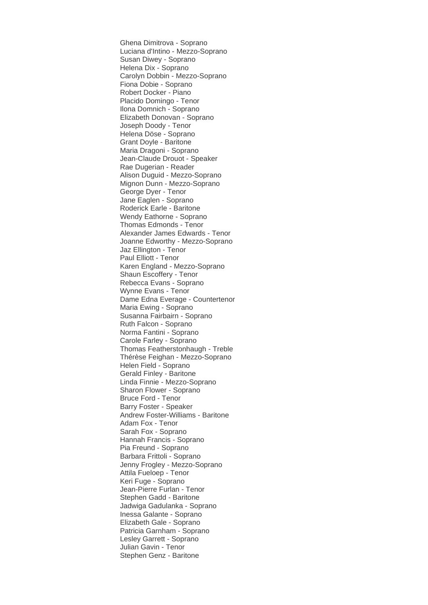Ghena Dimitrova - Soprano Luciana d'Intino - Mezzo-Soprano Susan Diwey - Soprano Helena Dix - Soprano Carolyn Dobbin - Mezzo-Soprano Fiona Dobie - Soprano Robert Docker - Piano Placido Domingo - Tenor Ilona Domnich - Soprano Elizabeth Donovan - Soprano Joseph Doody - Tenor Helena Döse - Soprano Grant Doyle - Baritone Maria Dragoni - Soprano Jean-Claude Drouot - Speaker Rae Dugerian - Reader Alison Duguid - Mezzo-Soprano Mignon Dunn - Mezzo-Soprano George Dyer - Tenor Jane Eaglen - Soprano Roderick Earle - Baritone Wendy Eathorne - Soprano Thomas Edmonds - Tenor Alexander James Edwards - Tenor Joanne Edworthy - Mezzo-Soprano Jaz Ellington - Tenor Paul Elliott - Tenor Karen England - Mezzo-Soprano Shaun Escoffery - Tenor Rebecca Evans - Soprano Wynne Evans - Tenor Dame Edna Everage - Countertenor Maria Ewing - Soprano Susanna Fairbairn - Soprano Ruth Falcon - Soprano Norma Fantini - Soprano Carole Farley - Soprano Thomas Featherstonhaugh - Treble Thérèse Feighan - Mezzo-Soprano Helen Field - Soprano Gerald Finley - Baritone Linda Finnie - Mezzo-Soprano Sharon Flower - Soprano Bruce Ford - Tenor Barry Foster - Speaker Andrew Foster-Williams - Baritone Adam Fox - Tenor Sarah Fox - Soprano Hannah Francis - Soprano Pia Freund - Soprano Barbara Frittoli - Soprano Jenny Frogley - Mezzo-Soprano Attila Fueloep - Tenor Keri Fuge - Soprano Jean-Pierre Furlan - Tenor Stephen Gadd - Baritone Jadwiga Gadulanka - Soprano Inessa Galante - Soprano Elizabeth Gale - Soprano Patricia Garnham - Soprano Lesley Garrett - Soprano Julian Gavin - Tenor Stephen Genz - Baritone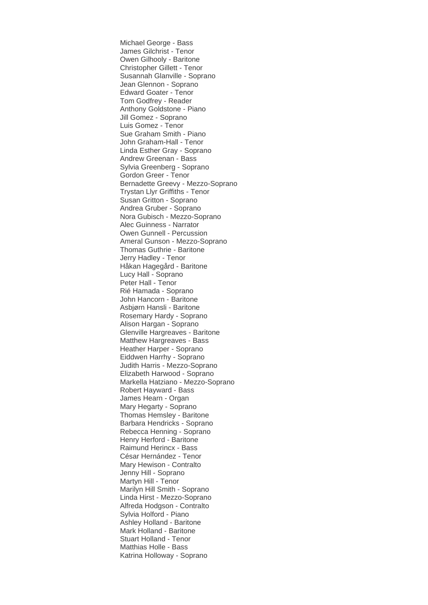Michael George - Bass James Gilchrist - Tenor Owen Gilhooly - Baritone Christopher Gillett - Tenor Susannah Glanville - Soprano Jean Glennon - Soprano Edward Goater - Tenor Tom Godfrey - Reader Anthony Goldstone - Piano Jill Gomez - Soprano Luis Gomez - Tenor Sue Graham Smith - Piano John Graham-Hall - Tenor Linda Esther Gray - Soprano Andrew Greenan - Bass Sylvia Greenberg - Soprano Gordon Greer - Tenor Bernadette Greevy - Mezzo-Soprano Trystan Llyr Griffiths - Tenor Susan Gritton - Soprano Andrea Gruber - Soprano Nora Gubisch - Mezzo-Soprano Alec Guinness - Narrator Owen Gunnell - Percussion Ameral Gunson - Mezzo-Soprano Thomas Guthrie - Baritone Jerry Hadley - Tenor Håkan Hagegård - Baritone Lucy Hall - Soprano Peter Hall - Tenor Rié Hamada - Soprano John Hancorn - Baritone Asbjørn Hansli - Baritone Rosemary Hardy - Soprano Alison Hargan - Soprano Glenville Hargreaves - Baritone Matthew Hargreaves - Bass Heather Harper - Soprano Eiddwen Harrhy - Soprano Judith Harris - Mezzo-Soprano Elizabeth Harwood - Soprano Markella Hatziano - Mezzo-Soprano Robert Hayward - Bass James Hearn - Organ Mary Hegarty - Soprano Thomas Hemsley - Baritone Barbara Hendricks - Soprano Rebecca Henning - Soprano Henry Herford - Baritone Raimund Herincx - Bass César Hernández - Tenor Mary Hewison - Contralto Jenny Hill - Soprano Martyn Hill - Tenor Marilyn Hill Smith - Soprano Linda Hirst - Mezzo-Soprano Alfreda Hodgson - Contralto Sylvia Holford - Piano Ashley Holland - Baritone Mark Holland - Baritone Stuart Holland - Tenor Matthias Holle - Bass Katrina Holloway - Soprano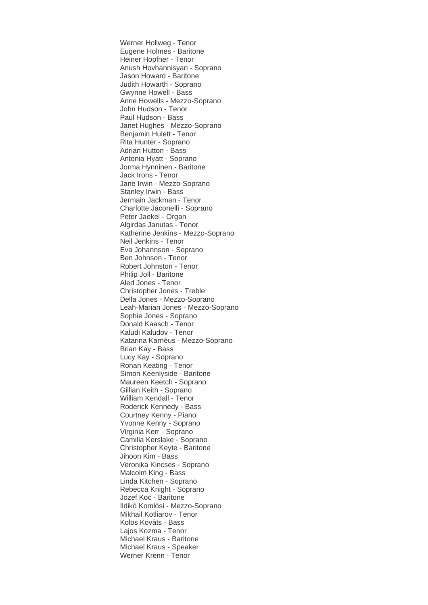Werner Hollweg - Tenor Eugene Holmes - Baritone Heiner Hopfner - Tenor Anush Hovhannisyan - Soprano Jason Howard - Baritone Judith Howarth - Soprano Gwynne Howell - Bass Anne Howells - Mezzo-Soprano John Hudson - Tenor Paul Hudson - Bass Janet Hughes - Mezzo-Soprano Benjamin Hulett - Tenor Rita Hunter - Soprano Adrian Hutton - Bass Antonia Hyatt - Soprano Jorma Hynninen - Baritone Jack Irons - Tenor Jane Irwin - Mezzo-Soprano Stanley Irwin - Bass Jermain Jackman - Tenor Charlotte Jaconelli - Soprano Peter Jaekel - Organ Algirdas Janutas - Tenor Katherine Jenkins - Mezzo-Soprano Neil Jenkins - Tenor Eva Johannson - Soprano Ben Johnson - Tenor Robert Johnston - Tenor Philip Joll - Baritone Aled Jones - Tenor Christopher Jones - Treble Della Jones - Mezzo-Soprano Leah-Marian Jones - Mezzo-Soprano Sophie Jones - Soprano Donald Kaasch - Tenor Kaludi Kaludov - Tenor Katarina Karnéus - Mezzo-Soprano Brian Kay - Bass Lucy Kay - Soprano Ronan Keating - Tenor Simon Keenlyside - Baritone Maureen Keetch - Soprano Gillian Keith - Soprano William Kendall - Tenor Roderick Kennedy - Bass Courtney Kenny - Piano Yvonne Kenny - Soprano Virginia Kerr - Soprano Camilla Kerslake - Soprano Christopher Keyte - Baritone Jihoon Kim - Bass Veronika Kincses - Soprano Malcolm King - Bass Linda Kitchen - Soprano Rebecca Knight - Soprano Jozef Koc - Baritone Ildikó Komlósi - Mezzo-Soprano Mikhail Kotliarov - Tenor Kolos Kováts - Bass Lajos Kozma - Tenor Michael Kraus - Baritone Michael Kraus - Speaker Werner Krenn - Tenor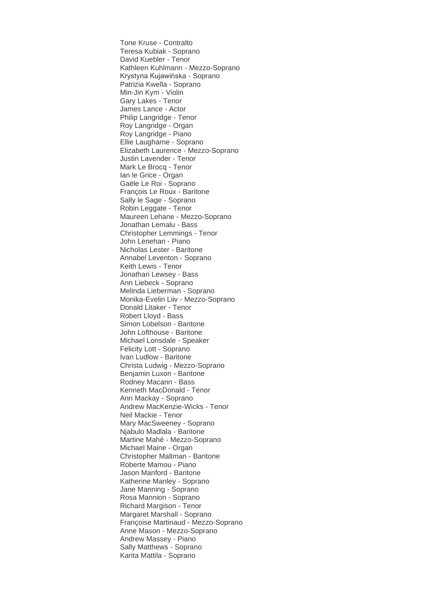Tone Kruse - Contralto Teresa Kubiak - Soprano David Kuebler - Tenor Kathleen Kuhlmann - Mezzo-Soprano Krystyna Kujawińska - Soprano Patrizia Kwella - Soprano Min-Jin Kym - Violin Gary Lakes - Tenor James Lance - Actor Philip Langridge - Tenor Roy Langridge - Organ Roy Langridge - Piano Ellie Laugharne - Soprano Elizabeth Laurence - Mezzo-Soprano Justin Lavender - Tenor Mark Le Brocq - Tenor Ian le Grice - Organ Gaële Le Roi - Soprano François Le Roux - Baritone Sally le Sage - Soprano Robin Leggate - Tenor Maureen Lehane - Mezzo-Soprano Jonathan Lemalu - Bass Christopher Lemmings - Tenor John Lenehan - Piano Nicholas Lester - Baritone Annabel Leventon - Soprano Keith Lewis - Tenor Jonathan Lewsey - Bass Ann Liebeck - Soprano Melinda Lieberman - Soprano Monika-Evelin Liiv - Mezzo-Soprano Donald Litaker - Tenor Robert Lloyd - Bass Simon Lobelson - Baritone John Lofthouse - Baritone Michael Lonsdale - Speaker Felicity Lott - Soprano Ivan Ludlow - Baritone Christa Ludwig - Mezzo-Soprano Benjamin Luxon - Baritone Rodney Macann - Bass Kenneth MacDonald - Tenor Ann Mackay - Soprano Andrew MacKenzie-Wicks - Tenor Neil Mackie - Tenor Mary MacSweeney - Soprano Njabulo Madlala - Baritone Martine Mahé - Mezzo-Soprano Michael Maine - Organ Christopher Maltman - Baritone Roberte Mamou - Piano Jason Manford - Baritone Katherine Manley - Soprano Jane Manning - Soprano Rosa Mannion - Soprano Richard Margison - Tenor Margaret Marshall - Soprano Françoise Martinaud - Mezzo-Soprano Anne Mason - Mezzo-Soprano Andrew Massey - Piano Sally Matthews - Soprano Karita Mattila - Soprano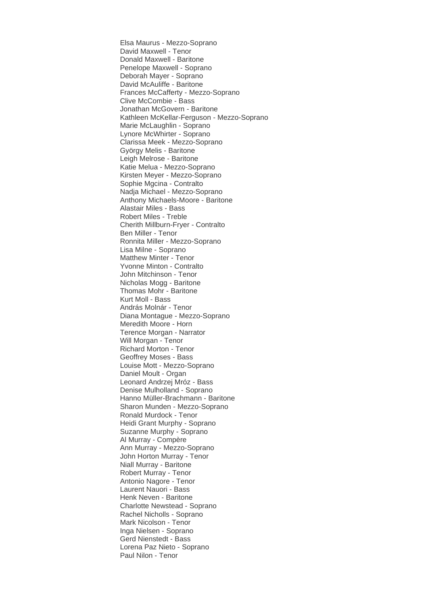Elsa Maurus - Mezzo-Soprano David Maxwell - Tenor Donald Maxwell - Baritone Penelope Maxwell - Soprano Deborah Mayer - Soprano David McAuliffe - Baritone Frances McCafferty - Mezzo-Soprano Clive McCombie - Bass Jonathan McGovern - Baritone Kathleen McKellar-Ferguson - Mezzo-Soprano Marie McLaughlin - Soprano Lynore McWhirter - Soprano Clarissa Meek - Mezzo-Soprano György Melis - Baritone Leigh Melrose - Baritone Katie Melua - Mezzo-Soprano Kirsten Meyer - Mezzo-Soprano Sophie Mgcina - Contralto Nadja Michael - Mezzo-Soprano Anthony Michaels-Moore - Baritone Alastair Miles - Bass Robert Miles - Treble Cherith Millburn-Fryer - Contralto Ben Miller - Tenor Ronnita Miller - Mezzo-Soprano Lisa Milne - Soprano Matthew Minter - Tenor Yvonne Minton - Contralto John Mitchinson - Tenor Nicholas Mogg - Baritone Thomas Mohr - Baritone Kurt Moll - Bass András Molnár - Tenor Diana Montague - Mezzo-Soprano Meredith Moore - Horn Terence Morgan - Narrator Will Morgan - Tenor Richard Morton - Tenor Geoffrey Moses - Bass Louise Mott - Mezzo-Soprano Daniel Moult - Organ Leonard Andrzej Mróz - Bass Denise Mulholland - Soprano Hanno Müller-Brachmann - Baritone Sharon Munden - Mezzo-Soprano Ronald Murdock - Tenor Heidi Grant Murphy - Soprano Suzanne Murphy - Soprano Al Murray - Compère Ann Murray - Mezzo-Soprano John Horton Murray - Tenor Niall Murray - Baritone Robert Murray - Tenor Antonio Nagore - Tenor Laurent Nauori - Bass Henk Neven - Baritone Charlotte Newstead - Soprano Rachel Nicholls - Soprano Mark Nicolson - Tenor Inga Nielsen - Soprano Gerd Nienstedt - Bass Lorena Paz Nieto - Soprano Paul Nilon - Tenor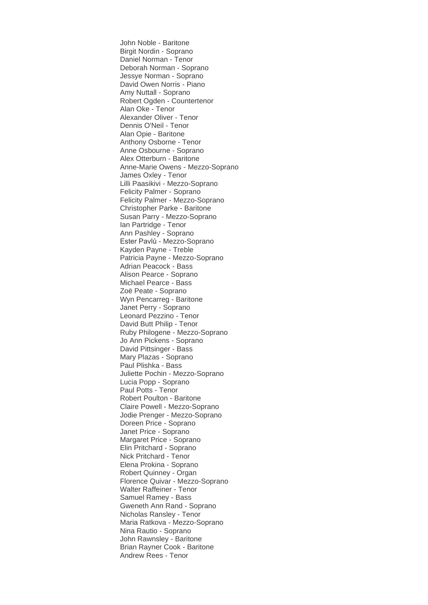John Noble - Baritone Birgit Nordin - Soprano Daniel Norman - Tenor Deborah Norman - Soprano Jessye Norman - Soprano David Owen Norris - Piano Amy Nuttall - Soprano Robert Ogden - Countertenor Alan Oke - Tenor Alexander Oliver - Tenor Dennis O'Neil - Tenor Alan Opie - Baritone Anthony Osborne - Tenor Anne Osbourne - Soprano Alex Otterburn - Baritone Anne-Marie Owens - Mezzo-Soprano James Oxley - Tenor Lilli Paasikivi - Mezzo-Soprano Felicity Palmer - Soprano Felicity Palmer - Mezzo-Soprano Christopher Parke - Baritone Susan Parry - Mezzo-Soprano Ian Partridge - Tenor Ann Pashley - Soprano Ester Pavlů - Mezzo-Soprano Kayden Payne - Treble Patricia Payne - Mezzo-Soprano Adrian Peacock - Bass Alison Pearce - Soprano Michael Pearce - Bass Zoë Peate - Soprano Wyn Pencarreg - Baritone Janet Perry - Soprano Leonard Pezzino - Tenor David Butt Philip - Tenor Ruby Philogene - Mezzo-Soprano Jo Ann Pickens - Soprano David Pittsinger - Bass Mary Plazas - Soprano Paul Plishka - Bass Juliette Pochin - Mezzo-Soprano Lucia Popp - Soprano Paul Potts - Tenor Robert Poulton - Baritone Claire Powell - Mezzo-Soprano Jodie Prenger - Mezzo-Soprano Doreen Price - Soprano Janet Price - Soprano Margaret Price - Soprano Elin Pritchard - Soprano Nick Pritchard - Tenor Elena Prokina - Soprano Robert Quinney - Organ Florence Quivar - Mezzo-Soprano Walter Raffeiner - Tenor Samuel Ramey - Bass Gweneth Ann Rand - Soprano Nicholas Ransley - Tenor Maria Ratkova - Mezzo-Soprano Nina Rautio - Soprano John Rawnsley - Baritone Brian Rayner Cook - Baritone Andrew Rees - Tenor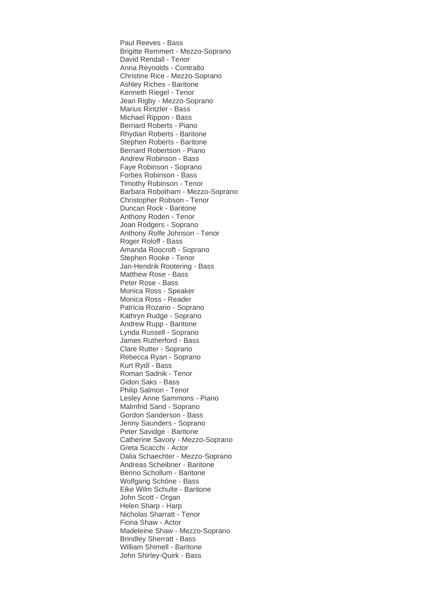Paul Reeves - Bass Brigitte Remmert - Mezzo-Soprano David Rendall - Tenor Anna Reynolds - Contralto Christine Rice - Mezzo-Soprano Ashley Riches - Baritone Kenneth Riegel - Tenor Jean Rigby - Mezzo-Soprano Marius Rintzler - Bass Michael Rippon - Bass Bernard Roberts - Piano Rhydian Roberts - Baritone Stephen Roberts - Baritone Bernard Robertson - Piano Andrew Robinson - Bass Faye Robinson - Soprano Forbes Robinson - Bass Timothy Robinson - Tenor Barbara Robotham - Mezzo-Soprano Christopher Robson - Tenor Duncan Rock - Baritone Anthony Roden - Tenor Joan Rodgers - Soprano Anthony Rolfe Johnson - Tenor Roger Roloff - Bass Amanda Roocroft - Soprano Stephen Rooke - Tenor Jan-Hendrik Rootering - Bass Matthew Rose - Bass Peter Rose - Bass Monica Ross - Speaker Monica Ross - Reader Patricia Rozario - Soprano Kathryn Rudge - Soprano Andrew Rupp - Baritone Lynda Russell - Soprano James Rutherford - Bass Clare Rutter - Soprano Rebecca Ryan - Soprano Kurt Rydl - Bass Roman Sadnik - Tenor Gidon Saks - Bass Philip Salmon - Tenor Lesley Anne Sammons - Piano Malmfrid Sand - Soprano Gordon Sanderson - Bass Jenny Saunders - Soprano Peter Savidge - Baritone Catherine Savory - Mezzo-Soprano Greta Scacchi - Actor Dalia Schaechter - Mezzo-Soprano Andreas Scheibner - Baritone Benno Schollum - Baritone Wolfgang Schöne - Bass Eike Wilm Schulte - Baritone John Scott - Organ Helen Sharp - Harp Nicholas Sharratt - Tenor Fiona Shaw - Actor Madeleine Shaw - Mezzo-Soprano Brindley Sherratt - Bass William Shimell - Baritone John Shirley-Quirk - Bass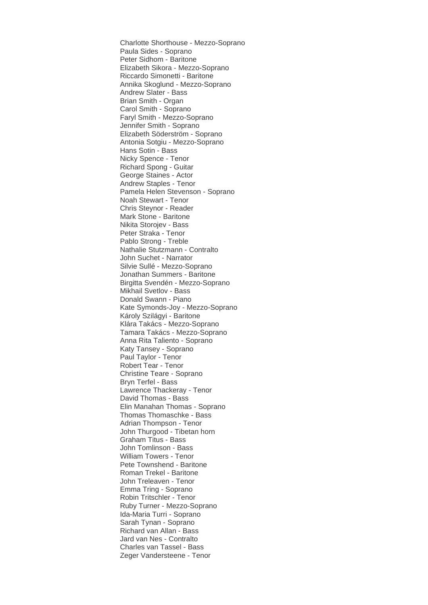Charlotte Shorthouse - Mezzo-Soprano Paula Sides - Soprano Peter Sidhom - Baritone Elizabeth Sikora - Mezzo-Soprano Riccardo Simonetti - Baritone Annika Skoglund - Mezzo-Soprano Andrew Slater - Bass Brian Smith - Organ Carol Smith - Soprano Faryl Smith - Mezzo-Soprano Jennifer Smith - Soprano Elizabeth Söderström - Soprano Antonia Sotgiu - Mezzo-Soprano Hans Sotin - Bass Nicky Spence - Tenor Richard Spong - Guitar George Staines - Actor Andrew Staples - Tenor Pamela Helen Stevenson - Soprano Noah Stewart - Tenor Chris Steynor - Reader Mark Stone - Baritone Nikita Storojev - Bass Peter Straka - Tenor Pablo Strong - Treble Nathalie Stutzmann - Contralto John Suchet - Narrator Silvie Sullé - Mezzo-Soprano Jonathan Summers - Baritone Birgitta Svendén - Mezzo-Soprano Mikhail Svetlov - Bass Donald Swann - Piano Kate Symonds-Joy - Mezzo-Soprano Károly Szilágyi - Baritone Klára Takács - Mezzo-Soprano Tamara Takács - Mezzo-Soprano Anna Rita Taliento - Soprano Katy Tansey - Soprano Paul Taylor - Tenor Robert Tear - Tenor Christine Teare - Soprano Bryn Terfel - Bass Lawrence Thackeray - Tenor David Thomas - Bass Elin Manahan Thomas - Soprano Thomas Thomaschke - Bass Adrian Thompson - Tenor John Thurgood - Tibetan horn Graham Titus - Bass John Tomlinson - Bass William Towers - Tenor Pete Townshend - Baritone Roman Trekel - Baritone John Treleaven - Tenor Emma Tring - Soprano Robin Tritschler - Tenor Ruby Turner - Mezzo-Soprano Ida-Maria Turri - Soprano Sarah Tynan - Soprano Richard van Allan - Bass Jard van Nes - Contralto Charles van Tassel - Bass Zeger Vandersteene - Tenor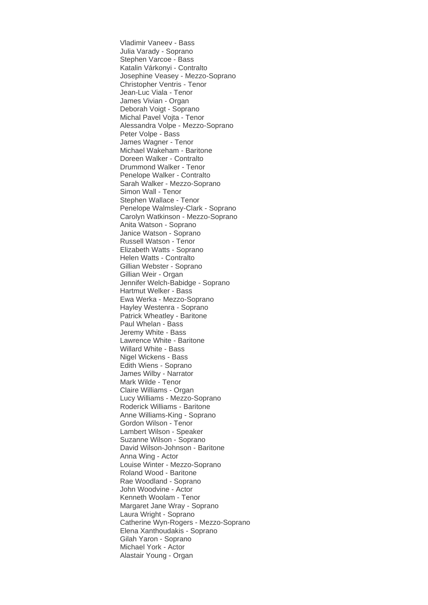Vladimir Vaneev - Bass Julia Varady - Soprano Stephen Varcoe - Bass Katalin Várkonyi - Contralto Josephine Veasey - Mezzo-Soprano Christopher Ventris - Tenor Jean-Luc Viala - Tenor James Vivian - Organ Deborah Voigt - Soprano Michal Pavel Vojta - Tenor Alessandra Volpe - Mezzo-Soprano Peter Volpe - Bass James Wagner - Tenor Michael Wakeham - Baritone Doreen Walker - Contralto Drummond Walker - Tenor Penelope Walker - Contralto Sarah Walker - Mezzo-Soprano Simon Wall - Tenor Stephen Wallace - Tenor Penelope Walmsley-Clark - Soprano Carolyn Watkinson - Mezzo-Soprano Anita Watson - Soprano Janice Watson - Soprano Russell Watson - Tenor Elizabeth Watts - Soprano Helen Watts - Contralto Gillian Webster - Soprano Gillian Weir - Organ Jennifer Welch-Babidge - Soprano Hartmut Welker - Bass Ewa Werka - Mezzo-Soprano Hayley Westenra - Soprano Patrick Wheatley - Baritone Paul Whelan - Bass Jeremy White - Bass Lawrence White - Baritone Willard White - Bass Nigel Wickens - Bass Edith Wiens - Soprano James Wilby - Narrator Mark Wilde - Tenor Claire Williams - Organ Lucy Williams - Mezzo-Soprano Roderick Williams - Baritone Anne Williams-King - Soprano Gordon Wilson - Tenor Lambert Wilson - Speaker Suzanne Wilson - Soprano David Wilson-Johnson - Baritone Anna Wing - Actor Louise Winter - Mezzo-Soprano Roland Wood - Baritone Rae Woodland - Soprano John Woodvine - Actor Kenneth Woolam - Tenor Margaret Jane Wray - Soprano Laura Wright - Soprano Catherine Wyn-Rogers - Mezzo-Soprano Elena Xanthoudakis - Soprano Gilah Yaron - Soprano Michael York - Actor Alastair Young - Organ